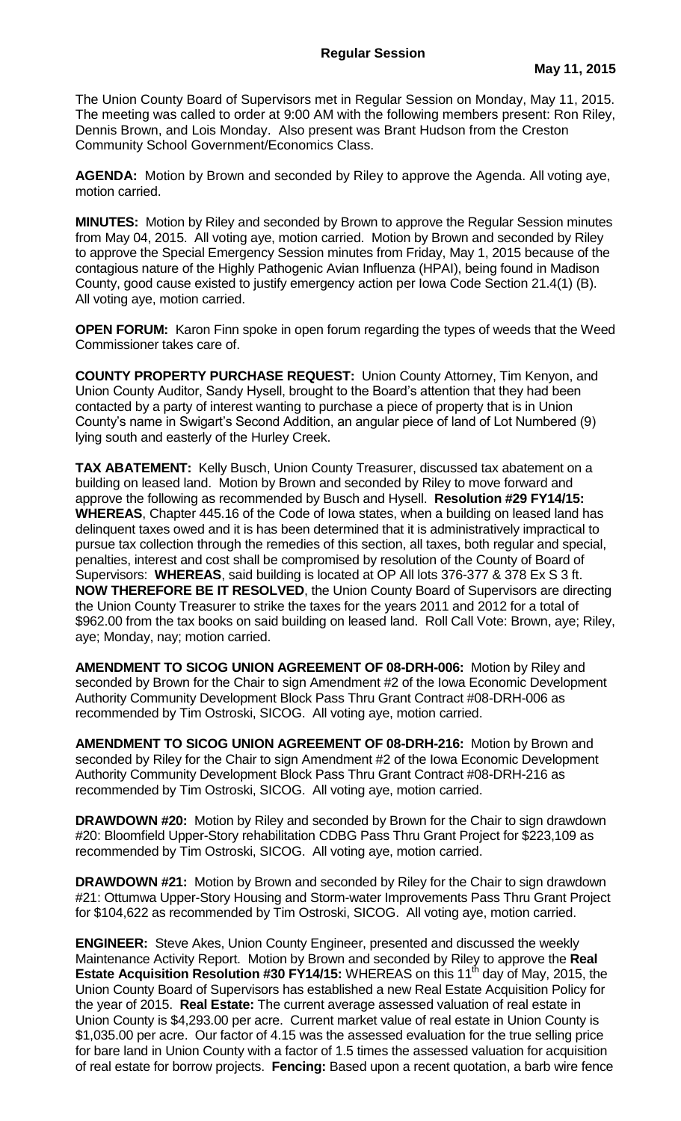The Union County Board of Supervisors met in Regular Session on Monday, May 11, 2015. The meeting was called to order at 9:00 AM with the following members present: Ron Riley, Dennis Brown, and Lois Monday. Also present was Brant Hudson from the Creston Community School Government/Economics Class.

**AGENDA:** Motion by Brown and seconded by Riley to approve the Agenda. All voting aye, motion carried.

**MINUTES:** Motion by Riley and seconded by Brown to approve the Regular Session minutes from May 04, 2015. All voting aye, motion carried. Motion by Brown and seconded by Riley to approve the Special Emergency Session minutes from Friday, May 1, 2015 because of the contagious nature of the Highly Pathogenic Avian Influenza (HPAI), being found in Madison County, good cause existed to justify emergency action per Iowa Code Section 21.4(1) (B). All voting aye, motion carried.

**OPEN FORUM:** Karon Finn spoke in open forum regarding the types of weeds that the Weed Commissioner takes care of.

**COUNTY PROPERTY PURCHASE REQUEST:** Union County Attorney, Tim Kenyon, and Union County Auditor, Sandy Hysell, brought to the Board's attention that they had been contacted by a party of interest wanting to purchase a piece of property that is in Union County's name in Swigart's Second Addition, an angular piece of land of Lot Numbered (9) lying south and easterly of the Hurley Creek.

**TAX ABATEMENT:** Kelly Busch, Union County Treasurer, discussed tax abatement on a building on leased land. Motion by Brown and seconded by Riley to move forward and approve the following as recommended by Busch and Hysell. **Resolution #29 FY14/15: WHEREAS**, Chapter 445.16 of the Code of Iowa states, when a building on leased land has delinquent taxes owed and it is has been determined that it is administratively impractical to pursue tax collection through the remedies of this section, all taxes, both regular and special, penalties, interest and cost shall be compromised by resolution of the County of Board of Supervisors: **WHEREAS**, said building is located at OP All lots 376-377 & 378 Ex S 3 ft. **NOW THEREFORE BE IT RESOLVED**, the Union County Board of Supervisors are directing the Union County Treasurer to strike the taxes for the years 2011 and 2012 for a total of \$962.00 from the tax books on said building on leased land. Roll Call Vote: Brown, aye; Riley, aye; Monday, nay; motion carried.

**AMENDMENT TO SICOG UNION AGREEMENT OF 08-DRH-006:** Motion by Riley and seconded by Brown for the Chair to sign Amendment #2 of the Iowa Economic Development Authority Community Development Block Pass Thru Grant Contract #08-DRH-006 as recommended by Tim Ostroski, SICOG. All voting aye, motion carried.

**AMENDMENT TO SICOG UNION AGREEMENT OF 08-DRH-216:** Motion by Brown and seconded by Riley for the Chair to sign Amendment #2 of the Iowa Economic Development Authority Community Development Block Pass Thru Grant Contract #08-DRH-216 as recommended by Tim Ostroski, SICOG. All voting aye, motion carried.

**DRAWDOWN #20:** Motion by Riley and seconded by Brown for the Chair to sign drawdown #20: Bloomfield Upper-Story rehabilitation CDBG Pass Thru Grant Project for \$223,109 as recommended by Tim Ostroski, SICOG. All voting aye, motion carried.

**DRAWDOWN #21:** Motion by Brown and seconded by Riley for the Chair to sign drawdown #21: Ottumwa Upper-Story Housing and Storm-water Improvements Pass Thru Grant Project for \$104,622 as recommended by Tim Ostroski, SICOG. All voting aye, motion carried.

**ENGINEER:** Steve Akes, Union County Engineer, presented and discussed the weekly Maintenance Activity Report. Motion by Brown and seconded by Riley to approve the **Real Estate Acquisition Resolution #30 FY14/15:** WHEREAS on this 11<sup>th</sup> day of May, 2015, the Union County Board of Supervisors has established a new Real Estate Acquisition Policy for the year of 2015. **Real Estate:** The current average assessed valuation of real estate in Union County is \$4,293.00 per acre. Current market value of real estate in Union County is \$1,035.00 per acre. Our factor of 4.15 was the assessed evaluation for the true selling price for bare land in Union County with a factor of 1.5 times the assessed valuation for acquisition of real estate for borrow projects. **Fencing:** Based upon a recent quotation, a barb wire fence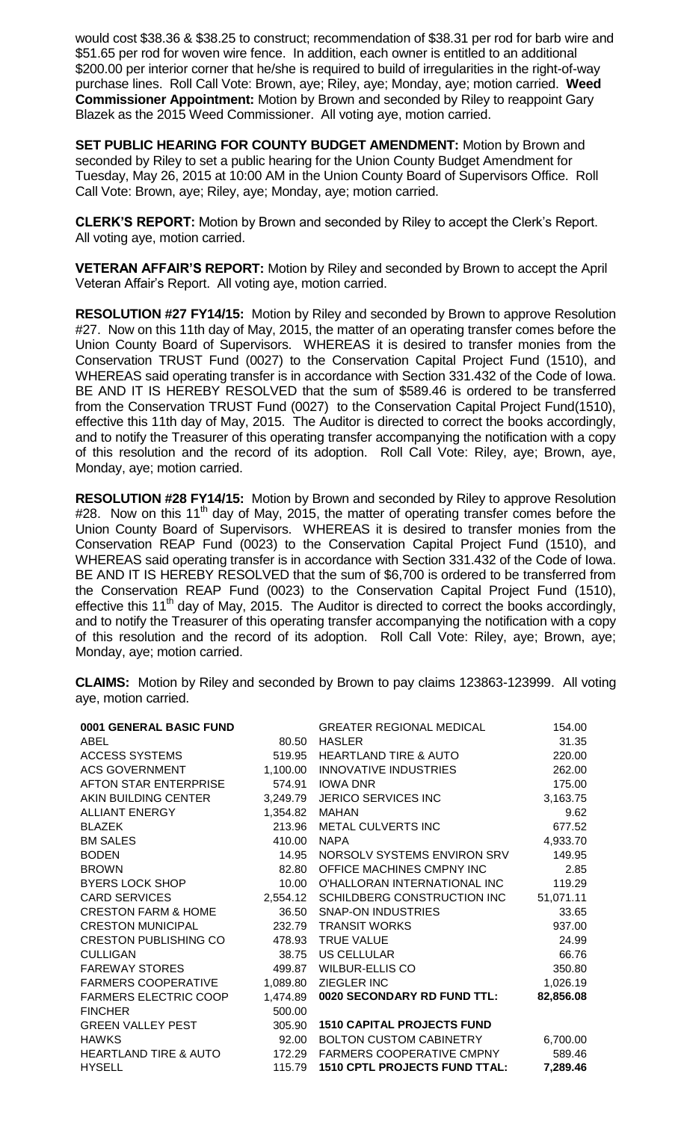would cost \$38.36 & \$38.25 to construct; recommendation of \$38.31 per rod for barb wire and \$51.65 per rod for woven wire fence. In addition, each owner is entitled to an additional \$200.00 per interior corner that he/she is required to build of irregularities in the right-of-way purchase lines. Roll Call Vote: Brown, aye; Riley, aye; Monday, aye; motion carried. **Weed Commissioner Appointment:** Motion by Brown and seconded by Riley to reappoint Gary Blazek as the 2015 Weed Commissioner. All voting aye, motion carried.

**SET PUBLIC HEARING FOR COUNTY BUDGET AMENDMENT:** Motion by Brown and seconded by Riley to set a public hearing for the Union County Budget Amendment for Tuesday, May 26, 2015 at 10:00 AM in the Union County Board of Supervisors Office. Roll Call Vote: Brown, aye; Riley, aye; Monday, aye; motion carried.

**CLERK'S REPORT:** Motion by Brown and seconded by Riley to accept the Clerk's Report. All voting aye, motion carried.

**VETERAN AFFAIR'S REPORT:** Motion by Riley and seconded by Brown to accept the April Veteran Affair's Report. All voting aye, motion carried.

**RESOLUTION #27 FY14/15:** Motion by Riley and seconded by Brown to approve Resolution #27. Now on this 11th day of May, 2015, the matter of an operating transfer comes before the Union County Board of Supervisors. WHEREAS it is desired to transfer monies from the Conservation TRUST Fund (0027) to the Conservation Capital Project Fund (1510), and WHEREAS said operating transfer is in accordance with Section 331.432 of the Code of Iowa. BE AND IT IS HEREBY RESOLVED that the sum of \$589.46 is ordered to be transferred from the Conservation TRUST Fund (0027) to the Conservation Capital Project Fund(1510), effective this 11th day of May, 2015. The Auditor is directed to correct the books accordingly, and to notify the Treasurer of this operating transfer accompanying the notification with a copy of this resolution and the record of its adoption. Roll Call Vote: Riley, aye; Brown, aye, Monday, aye; motion carried.

**RESOLUTION #28 FY14/15:** Motion by Brown and seconded by Riley to approve Resolution  $#28$ . Now on this 11<sup>th</sup> day of May, 2015, the matter of operating transfer comes before the Union County Board of Supervisors. WHEREAS it is desired to transfer monies from the Conservation REAP Fund (0023) to the Conservation Capital Project Fund (1510), and WHEREAS said operating transfer is in accordance with Section 331.432 of the Code of Iowa. BE AND IT IS HEREBY RESOLVED that the sum of \$6,700 is ordered to be transferred from the Conservation REAP Fund (0023) to the Conservation Capital Project Fund (1510), effective this 11<sup>th</sup> day of May, 2015. The Auditor is directed to correct the books accordingly, and to notify the Treasurer of this operating transfer accompanying the notification with a copy of this resolution and the record of its adoption. Roll Call Vote: Riley, aye; Brown, aye; Monday, aye; motion carried.

**CLAIMS:** Motion by Riley and seconded by Brown to pay claims 123863-123999. All voting aye, motion carried.

| 0001 GENERAL BASIC FUND          |          | <b>GREATER REGIONAL MEDICAL</b>      | 154.00    |
|----------------------------------|----------|--------------------------------------|-----------|
| ABEL                             | 80.50    | <b>HASLER</b>                        | 31.35     |
| <b>ACCESS SYSTEMS</b>            | 519.95   | <b>HEARTLAND TIRE &amp; AUTO</b>     | 220.00    |
| <b>ACS GOVERNMENT</b>            |          | 1,100.00 INNOVATIVE INDUSTRIES       | 262.00    |
| AFTON STAR ENTERPRISE            | 574.91   | <b>IOWA DNR</b>                      | 175.00    |
| AKIN BUILDING CENTER             | 3,249.79 | JERICO SERVICES INC                  | 3,163.75  |
| <b>ALLIANT ENERGY</b>            | 1,354.82 | <b>MAHAN</b>                         | 9.62      |
| <b>BLAZEK</b>                    | 213.96   | METAL CULVERTS INC                   | 677.52    |
| <b>BM SALES</b>                  | 410.00   | <b>NAPA</b>                          | 4,933.70  |
| <b>BODEN</b>                     | 14.95    | NORSOLV SYSTEMS ENVIRON SRV          | 149.95    |
| <b>BROWN</b>                     | 82.80    | OFFICE MACHINES CMPNY INC            | 2.85      |
| <b>BYERS LOCK SHOP</b>           | 10.00    | O'HALLORAN INTERNATIONAL INC         | 119.29    |
| <b>CARD SERVICES</b>             | 2,554.12 | SCHILDBERG CONSTRUCTION INC          | 51,071.11 |
| <b>CRESTON FARM &amp; HOME</b>   | 36.50    | <b>SNAP-ON INDUSTRIES</b>            | 33.65     |
| <b>CRESTON MUNICIPAL</b>         | 232.79   | <b>TRANSIT WORKS</b>                 | 937.00    |
| <b>CRESTON PUBLISHING CO</b>     | 478.93   | <b>TRUE VALUE</b>                    | 24.99     |
| <b>CULLIGAN</b>                  | 38.75    | <b>US CELLULAR</b>                   | 66.76     |
| <b>FAREWAY STORES</b>            | 499.87   | <b>WILBUR-ELLIS CO</b>               | 350.80    |
| <b>FARMERS COOPERATIVE</b>       |          | 1,089.80 ZIEGLER INC                 | 1,026.19  |
| <b>FARMERS ELECTRIC COOP</b>     | 1,474.89 | 0020 SECONDARY RD FUND TTL:          | 82,856.08 |
| <b>FINCHER</b>                   | 500.00   |                                      |           |
| <b>GREEN VALLEY PEST</b>         | 305.90   | <b>1510 CAPITAL PROJECTS FUND</b>    |           |
| <b>HAWKS</b>                     | 92.00    | BOLTON CUSTOM CABINETRY              | 6,700.00  |
| <b>HEARTLAND TIRE &amp; AUTO</b> | 172.29   | FARMERS COOPERATIVE CMPNY            | 589.46    |
| <b>HYSELL</b>                    | 115.79   | <b>1510 CPTL PROJECTS FUND TTAL:</b> | 7,289.46  |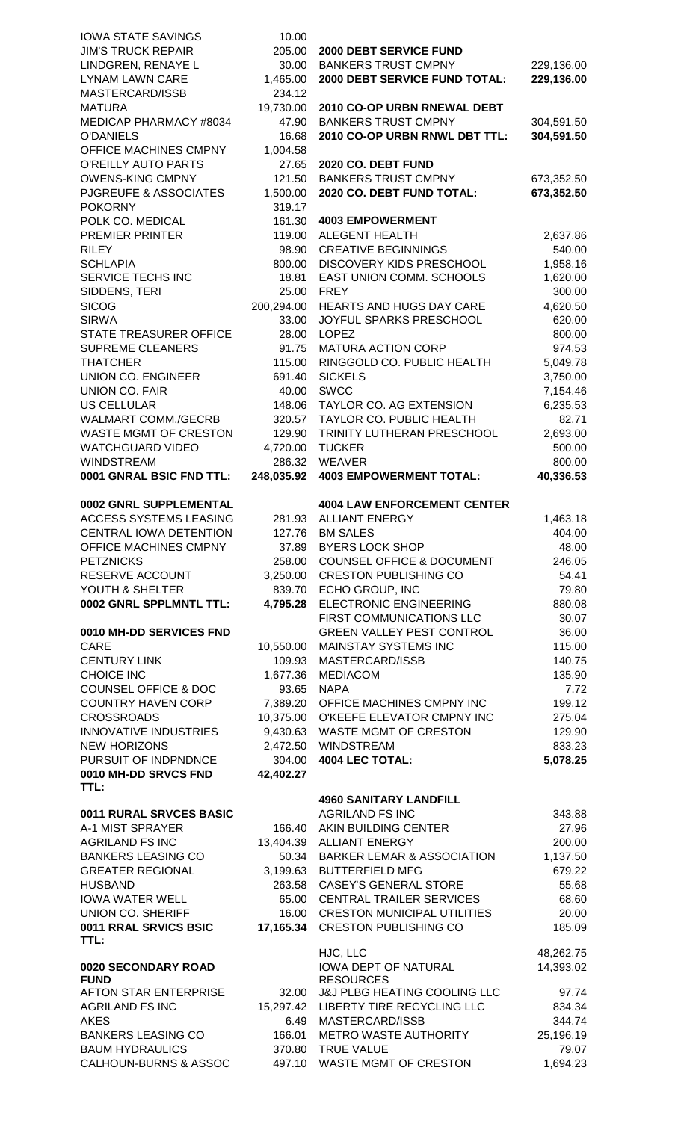| <b>IOWA STATE SAVINGS</b>                                  | 10.00            |                                                        |                   |
|------------------------------------------------------------|------------------|--------------------------------------------------------|-------------------|
| <b>JIM'S TRUCK REPAIR</b>                                  | 205.00           | 2000 DEBT SERVICE FUND                                 |                   |
| LINDGREN, RENAYE L                                         | 30.00            | <b>BANKERS TRUST CMPNY</b>                             | 229,136.00        |
| <b>LYNAM LAWN CARE</b>                                     | 1,465.00         | 2000 DEBT SERVICE FUND TOTAL:                          | 229,136.00        |
| MASTERCARD/ISSB                                            | 234.12           |                                                        |                   |
| <b>MATURA</b>                                              | 19,730.00        | 2010 CO-OP URBN RNEWAL DEBT                            |                   |
| MEDICAP PHARMACY #8034                                     | 47.90            | <b>BANKERS TRUST CMPNY</b>                             | 304,591.50        |
| <b>O'DANIELS</b>                                           | 16.68            | 2010 CO-OP URBN RNWL DBT TTL:                          | 304,591.50        |
| OFFICE MACHINES CMPNY                                      | 1,004.58         |                                                        |                   |
| O'REILLY AUTO PARTS                                        | 27.65            | 2020 CO. DEBT FUND                                     |                   |
| <b>OWENS-KING CMPNY</b>                                    | 121.50           | <b>BANKERS TRUST CMPNY</b>                             | 673,352.50        |
| <b>PJGREUFE &amp; ASSOCIATES</b>                           | 1,500.00         | 2020 CO. DEBT FUND TOTAL:                              | 673,352.50        |
| <b>POKORNY</b>                                             | 319.17           |                                                        |                   |
| POLK CO. MEDICAL                                           | 161.30           | <b>4003 EMPOWERMENT</b>                                |                   |
| PREMIER PRINTER                                            | 119.00           | <b>ALEGENT HEALTH</b>                                  | 2,637.86          |
| <b>RILEY</b>                                               | 98.90            | <b>CREATIVE BEGINNINGS</b>                             | 540.00            |
| <b>SCHLAPIA</b>                                            | 800.00           | <b>DISCOVERY KIDS PRESCHOOL</b>                        | 1,958.16          |
| SERVICE TECHS INC                                          | 18.81            | EAST UNION COMM. SCHOOLS                               | 1,620.00          |
| SIDDENS, TERI                                              | 25.00            | <b>FREY</b>                                            | 300.00            |
| <b>SICOG</b>                                               | 200,294.00       | HEARTS AND HUGS DAY CARE                               | 4,620.50          |
| <b>SIRWA</b>                                               | 33.00            | JOYFUL SPARKS PRESCHOOL                                | 620.00            |
| <b>STATE TREASURER OFFICE</b>                              | 28.00            | <b>LOPEZ</b>                                           | 800.00            |
| <b>SUPREME CLEANERS</b>                                    | 91.75            | <b>MATURA ACTION CORP</b>                              | 974.53            |
| <b>THATCHER</b>                                            | 115.00           | RINGGOLD CO. PUBLIC HEALTH                             | 5,049.78          |
| <b>UNION CO. ENGINEER</b>                                  | 691.40           | <b>SICKELS</b>                                         | 3,750.00          |
| <b>UNION CO. FAIR</b>                                      | 40.00            | <b>SWCC</b>                                            | 7,154.46          |
| <b>US CELLULAR</b>                                         | 148.06           | TAYLOR CO. AG EXTENSION                                | 6,235.53          |
| <b>WALMART COMM./GECRB</b>                                 | 320.57           | TAYLOR CO. PUBLIC HEALTH                               | 82.71             |
| <b>WASTE MGMT OF CRESTON</b>                               | 129.90           | TRINITY LUTHERAN PRESCHOOL                             | 2,693.00          |
| <b>WATCHGUARD VIDEO</b>                                    | 4,720.00         | <b>TUCKER</b>                                          | 500.00            |
| <b>WINDSTREAM</b>                                          | 286.32           | <b>WEAVER</b>                                          | 800.00            |
| 0001 GNRAL BSIC FND TTL:                                   | 248,035.92       | <b>4003 EMPOWERMENT TOTAL:</b>                         | 40,336.53         |
|                                                            |                  |                                                        |                   |
| 0002 GNRL SUPPLEMENTAL                                     |                  | <b>4004 LAW ENFORCEMENT CENTER</b>                     |                   |
| <b>ACCESS SYSTEMS LEASING</b>                              |                  | 281.93 ALLIANT ENERGY                                  | 1,463.18          |
| CENTRAL IOWA DETENTION                                     |                  | 127.76 BM SALES                                        | 404.00            |
|                                                            |                  |                                                        |                   |
| OFFICE MACHINES CMPNY                                      | 37.89            | <b>BYERS LOCK SHOP</b>                                 | 48.00             |
| <b>PETZNICKS</b>                                           | 258.00           | <b>COUNSEL OFFICE &amp; DOCUMENT</b>                   | 246.05            |
| RESERVE ACCOUNT                                            | 3,250.00         | <b>CRESTON PUBLISHING CO</b>                           | 54.41             |
| YOUTH & SHELTER                                            | 839.70           | ECHO GROUP, INC                                        | 79.80             |
| 0002 GNRL SPPLMNTL TTL:                                    | 4,795.28         | <b>ELECTRONIC ENGINEERING</b>                          | 880.08            |
|                                                            |                  | FIRST COMMUNICATIONS LLC                               | 30.07             |
| 0010 MH-DD SERVICES FND                                    |                  | <b>GREEN VALLEY PEST CONTROL</b>                       | 36.00             |
| <b>CARE</b>                                                | 10,550.00        | MAINSTAY SYSTEMS INC                                   | 115.00            |
| <b>CENTURY LINK</b>                                        | 109.93           | MASTERCARD/ISSB                                        | 140.75            |
| <b>CHOICE INC</b>                                          | 1,677.36         | <b>MEDIACOM</b>                                        | 135.90            |
| <b>COUNSEL OFFICE &amp; DOC</b>                            | 93.65            | <b>NAPA</b>                                            | 7.72              |
| <b>COUNTRY HAVEN CORP</b>                                  |                  | 7,389.20 OFFICE MACHINES CMPNY INC                     | 199.12            |
| <b>CROSSROADS</b>                                          |                  | 10,375.00 O'KEEFE ELEVATOR CMPNY INC                   | 275.04            |
| <b>INNOVATIVE INDUSTRIES</b>                               |                  | 9,430.63 WASTE MGMT OF CRESTON                         | 129.90            |
| <b>NEW HORIZONS</b>                                        |                  | 2,472.50 WINDSTREAM                                    | 833.23            |
| PURSUIT OF INDPNDNCE                                       | 304.00           | 4004 LEC TOTAL:                                        | 5,078.25          |
| 0010 MH-DD SRVCS FND<br>TTL:                               | 42,402.27        |                                                        |                   |
|                                                            |                  | <b>4960 SANITARY LANDFILL</b>                          |                   |
| 0011 RURAL SRVCES BASIC                                    |                  | <b>AGRILAND FS INC</b>                                 | 343.88            |
| A-1 MIST SPRAYER                                           | 166.40           | AKIN BUILDING CENTER                                   | 27.96             |
| <b>AGRILAND FS INC</b>                                     | 13,404.39        | <b>ALLIANT ENERGY</b>                                  | 200.00            |
| <b>BANKERS LEASING CO</b>                                  | 50.34            | <b>BARKER LEMAR &amp; ASSOCIATION</b>                  | 1,137.50          |
| <b>GREATER REGIONAL</b>                                    | 3,199.63         | <b>BUTTERFIELD MFG</b>                                 | 679.22            |
| <b>HUSBAND</b>                                             | 263.58           | <b>CASEY'S GENERAL STORE</b>                           | 55.68             |
| <b>IOWA WATER WELL</b>                                     | 65.00            | <b>CENTRAL TRAILER SERVICES</b>                        | 68.60             |
| UNION CO. SHERIFF                                          | 16.00            | <b>CRESTON MUNICIPAL UTILITIES</b>                     | 20.00             |
| 0011 RRAL SRVICS BSIC                                      | 17,165.34        | <b>CRESTON PUBLISHING CO</b>                           | 185.09            |
| TTL:                                                       |                  |                                                        |                   |
|                                                            |                  | HJC, LLC                                               | 48,262.75         |
| 0020 SECONDARY ROAD<br><b>FUND</b>                         |                  | IOWA DEPT OF NATURAL                                   | 14,393.02         |
| AFTON STAR ENTERPRISE                                      |                  | <b>RESOURCES</b><br>32.00 J&J PLBG HEATING COOLING LLC | 97.74             |
| <b>AGRILAND FS INC</b>                                     |                  | 15,297.42 LIBERTY TIRE RECYCLING LLC                   | 834.34            |
| <b>AKES</b>                                                | 6.49             | MASTERCARD/ISSB                                        | 344.74            |
| <b>BANKERS LEASING CO</b>                                  | 166.01           | <b>METRO WASTE AUTHORITY</b>                           | 25,196.19         |
| <b>BAUM HYDRAULICS</b><br><b>CALHOUN-BURNS &amp; ASSOC</b> | 370.80<br>497.10 | <b>TRUE VALUE</b><br><b>WASTE MGMT OF CRESTON</b>      | 79.07<br>1,694.23 |